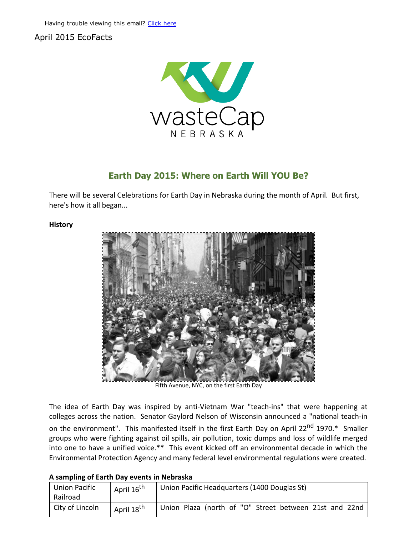## April 2015 EcoFacts



# Earth Day 2015: Where on Earth Will YOU Be?

There will be several Celebrations for Earth Day in Nebraska during the month of April. But first, here's how it all began...

#### **History**



Fifth [Avenue,](http://r20.rs6.net/tn.jsp?e=001KUmOe_ifokWF-gQFnIpcIHg1Fc1K0xGJ5dleQO9rIpAbbfMBEZLeuCHIN6m8UKloIv-G2C3zkJEM2NYUWMvWOHgY9kN-DVWf5XxIsPdRpVXUrYaRr7JQ5o5MyMfc-lLq) NYC, on the first Earth Day

The idea of Earth Day was inspired by anti‐Vietnam War "teach‐ins" that were happening at colleges across the nation. Senator Gaylord Nelson of Wisconsin announced a "national teach‐in on the environment". This manifested itself in the first Earth Day on April 22<sup>nd</sup> 1970.\* Smaller groups who were fighting against oil spills, air pollution, toxic dumps and loss of wildlife merged into one to have a unified voice.\*\* This event kicked off an environmental decade in which the Environmental Protection Agency and many federal level environmental regulations were created.

### A sampling of Earth Day events in Nebraska

| <b>Union Pacific</b><br>Railroad | April 16 <sup>th</sup> | Union Pacific Headquarters (1400 Douglas St)           |
|----------------------------------|------------------------|--------------------------------------------------------|
| City of Lincoln                  | April 18 <sup>th</sup> | Union Plaza (north of "O" Street between 21st and 22nd |